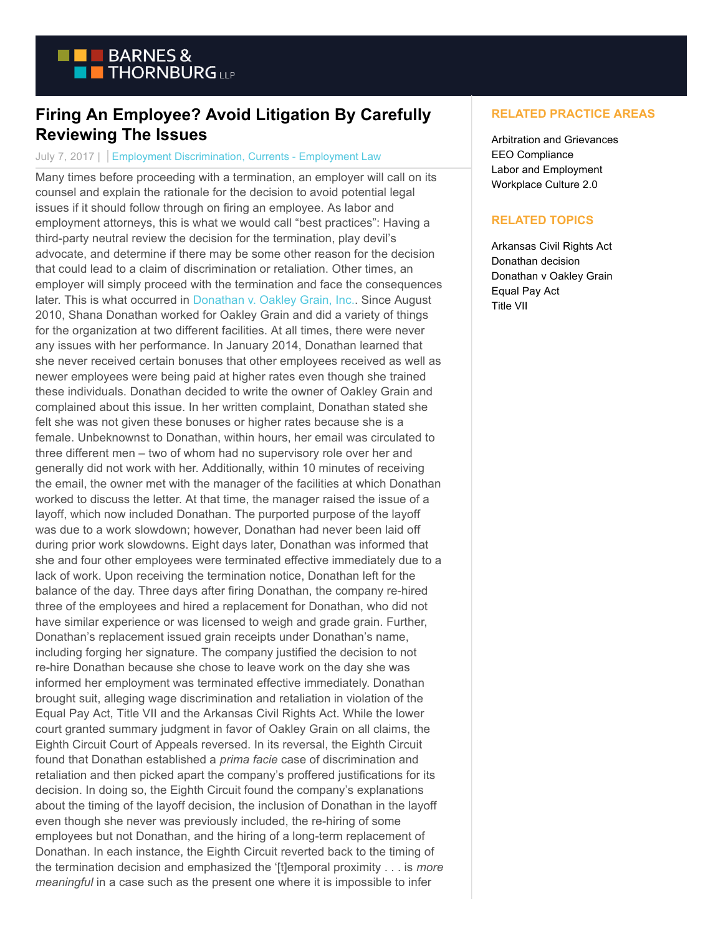

## **Firing An Employee? Avoid Litigation By Carefully Reviewing The Issues**

## July 7, 2017 | Employment Discrimination, Currents - Employment Law

Many times before proceeding with a termination, an employer will call on its counsel and explain the rationale for the decision to avoid potential legal issues if it should follow through on firing an employee. As labor and employment attorneys, this is what we would call "best practices": Having a third-party neutral review the decision for the termination, play devil's advocate, and determine if there may be some other reason for the decision that could lead to a claim of discrimination or retaliation. Other times, an employer will simply proceed with the termination and face the consequences later. This is what occurred in [Donathan v. Oakley Grain, Inc..](https://scholar.google.com/scholar_case?case=16508533025698101903&hl=en&as_sdt=6&as_vis=1&oi=scholarr) Since August 2010, Shana Donathan worked for Oakley Grain and did a variety of things for the organization at two different facilities. At all times, there were never any issues with her performance. In January 2014, Donathan learned that she never received certain bonuses that other employees received as well as newer employees were being paid at higher rates even though she trained these individuals. Donathan decided to write the owner of Oakley Grain and complained about this issue. In her written complaint, Donathan stated she felt she was not given these bonuses or higher rates because she is a female. Unbeknownst to Donathan, within hours, her email was circulated to three different men – two of whom had no supervisory role over her and generally did not work with her. Additionally, within 10 minutes of receiving the email, the owner met with the manager of the facilities at which Donathan worked to discuss the letter. At that time, the manager raised the issue of a layoff, which now included Donathan. The purported purpose of the layoff was due to a work slowdown; however, Donathan had never been laid off during prior work slowdowns. Eight days later, Donathan was informed that she and four other employees were terminated effective immediately due to a lack of work. Upon receiving the termination notice, Donathan left for the balance of the day. Three days after firing Donathan, the company re-hired three of the employees and hired a replacement for Donathan, who did not have similar experience or was licensed to weigh and grade grain. Further, Donathan's replacement issued grain receipts under Donathan's name, including forging her signature. The company justified the decision to not re-hire Donathan because she chose to leave work on the day she was informed her employment was terminated effective immediately. Donathan brought suit, alleging wage discrimination and retaliation in violation of the Equal Pay Act, Title VII and the Arkansas Civil Rights Act. While the lower court granted summary judgment in favor of Oakley Grain on all claims, the Eighth Circuit Court of Appeals reversed. In its reversal, the Eighth Circuit found that Donathan established a *prima facie* case of discrimination and retaliation and then picked apart the company's proffered justifications for its decision. In doing so, the Eighth Circuit found the company's explanations about the timing of the layoff decision, the inclusion of Donathan in the layoff even though she never was previously included, the re-hiring of some employees but not Donathan, and the hiring of a long-term replacement of Donathan. In each instance, the Eighth Circuit reverted back to the timing of the termination decision and emphasized the '[t]emporal proximity . . . is *more meaningful* in a case such as the present one where it is impossible to infer

## **RELATED PRACTICE AREAS**

Arbitration and Grievances EEO Compliance Labor and Employment Workplace Culture 2.0

## **RELATED TOPICS**

Arkansas Civil Rights Act Donathan decision Donathan v Oakley Grain Equal Pay Act Title VII